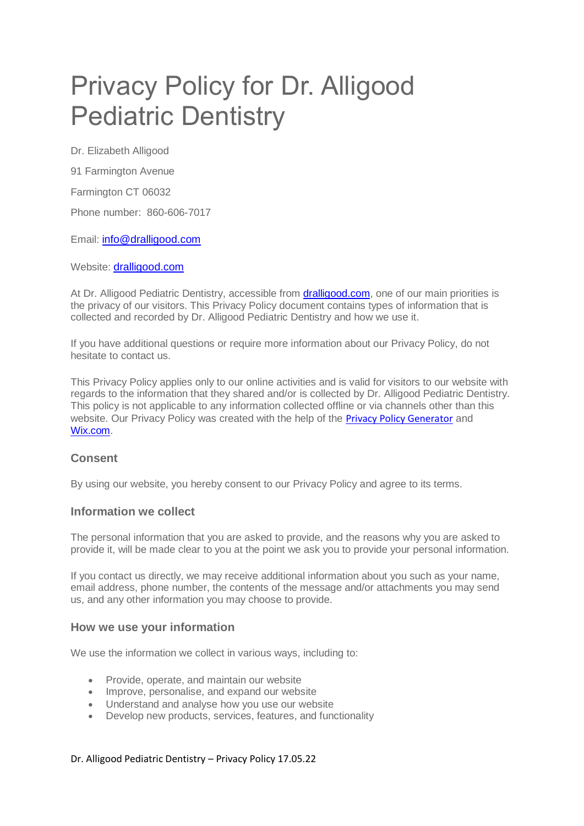# Privacy Policy for Dr. Alligood Pediatric Dentistry

Dr. Elizabeth Alligood

91 Farmington Avenue

Farmington CT 06032

Phone number: 860-606-7017

Email: info@dralligood.com

Website: [dralligood.com](file:///C:/Nat)

At Dr. Alligood Pediatric Dentistry, accessible from **dralligood.com**, one of our main priorities is the privacy of our visitors. This Privacy Policy document contains types of information that is collected and recorded by Dr. Alligood Pediatric Dentistry and how we use it.

If you have additional questions or require more information about our Privacy Policy, do not hesitate to contact us.

This Privacy Policy applies only to our online activities and is valid for visitors to our website with regards to the information that they shared and/or is collected by Dr. Alligood Pediatric Dentistry. This policy is not applicable to any information collected offline or via channels other than this website. Our Privacy Policy was created with the help of the [Privacy Policy Generator](https://www.privacypolicygenerator.info/) and [Wix.com.](https://support.wix.com/en/article/creating-a-privacy-policy)

# **Consent**

By using our website, you hereby consent to our Privacy Policy and agree to its terms.

#### **Information we collect**

The personal information that you are asked to provide, and the reasons why you are asked to provide it, will be made clear to you at the point we ask you to provide your personal information.

If you contact us directly, we may receive additional information about you such as your name, email address, phone number, the contents of the message and/or attachments you may send us, and any other information you may choose to provide.

#### **How we use your information**

We use the information we collect in various ways, including to:

- Provide, operate, and maintain our website
- Improve, personalise, and expand our website
- Understand and analyse how you use our website
- Develop new products, services, features, and functionality

#### Dr. Alligood Pediatric Dentistry – Privacy Policy 17.05.22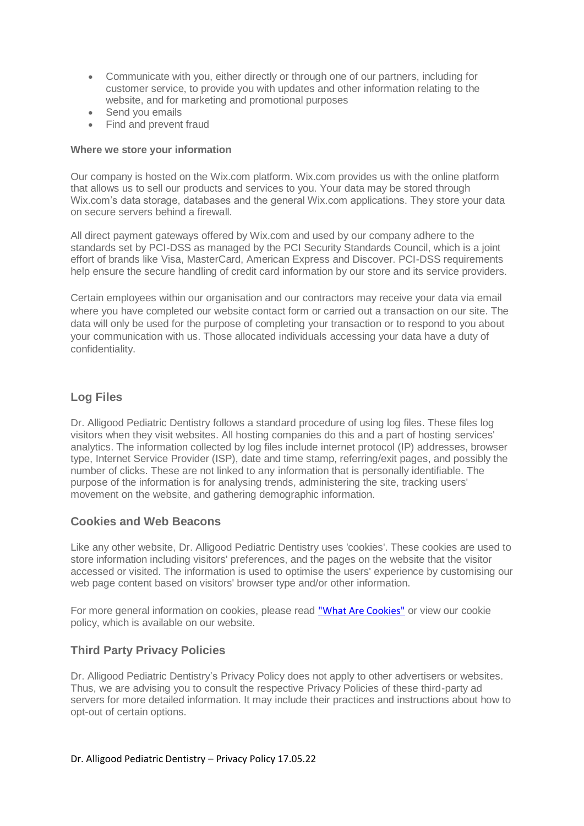- Communicate with you, either directly or through one of our partners, including for customer service, to provide you with updates and other information relating to the website, and for marketing and promotional purposes
- Send you emails
- Find and prevent fraud

#### **Where we store your information**

Our company is hosted on the Wix.com platform. Wix.com provides us with the online platform that allows us to sell our products and services to you. Your data may be stored through Wix.com's data storage, databases and the general Wix.com applications. They store your data on secure servers behind a firewall.

All direct payment gateways offered by Wix.com and used by our company adhere to the standards set by PCI-DSS as managed by the PCI Security Standards Council, which is a joint effort of brands like Visa, MasterCard, American Express and Discover. PCI-DSS requirements help ensure the secure handling of credit card information by our store and its service providers.

Certain employees within our organisation and our contractors may receive your data via email where you have completed our website contact form or carried out a transaction on our site. The data will only be used for the purpose of completing your transaction or to respond to you about your communication with us. Those allocated individuals accessing your data have a duty of confidentiality.

# **Log Files**

Dr. Alligood Pediatric Dentistry follows a standard procedure of using log files. These files log visitors when they visit websites. All hosting companies do this and a part of hosting services' analytics. The information collected by log files include internet protocol (IP) addresses, browser type, Internet Service Provider (ISP), date and time stamp, referring/exit pages, and possibly the number of clicks. These are not linked to any information that is personally identifiable. The purpose of the information is for analysing trends, administering the site, tracking users' movement on the website, and gathering demographic information.

# **Cookies and Web Beacons**

Like any other website, Dr. Alligood Pediatric Dentistry uses 'cookies'. These cookies are used to store information including visitors' preferences, and the pages on the website that the visitor accessed or visited. The information is used to optimise the users' experience by customising our web page content based on visitors' browser type and/or other information.

For more general information on cookies, please read ["What Are Cookies"](https://www.privacypolicyonline.com/what-are-cookies/) or view our cookie policy, which is available on our website.

# **Third Party Privacy Policies**

Dr. Alligood Pediatric Dentistry's Privacy Policy does not apply to other advertisers or websites. Thus, we are advising you to consult the respective Privacy Policies of these third-party ad servers for more detailed information. It may include their practices and instructions about how to opt-out of certain options.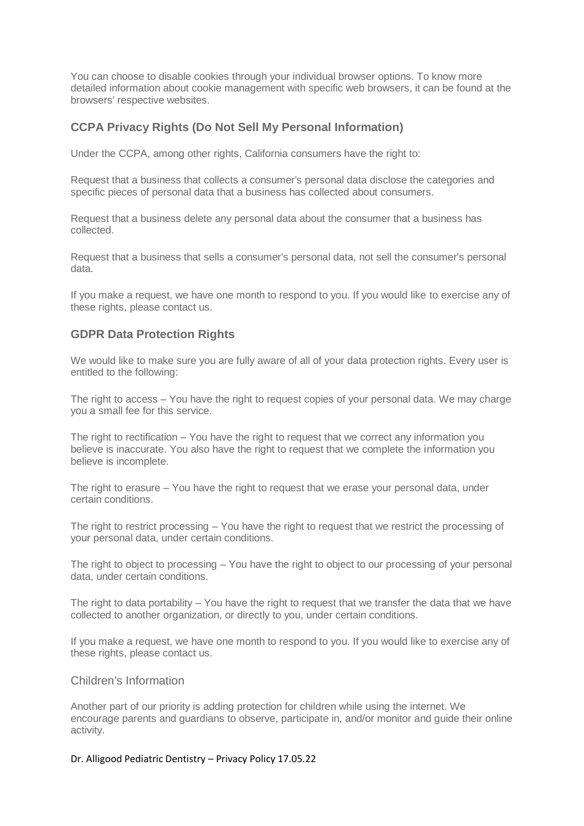You can choose to disable cookies through your individual browser options. To know more detailed information about cookie management with specific web browsers, it can be found at the browsers' respective websites.

# **CCPA Privacy Rights (Do Not Sell My Personal Information)**

Under the CCPA, among other rights, California consumers have the right to:

Request that a business that collects a consumer's personal data disclose the categories and specific pieces of personal data that a business has collected about consumers.

Request that a business delete any personal data about the consumer that a business has collected.

Request that a business that sells a consumer's personal data, not sell the consumer's personal data.

If you make a request, we have one month to respond to you. If you would like to exercise any of these rights, please contact us.

# **GDPR Data Protection Rights**

We would like to make sure you are fully aware of all of your data protection rights. Every user is entitled to the following:

The right to access – You have the right to request copies of your personal data. We may charge you a small fee for this service.

The right to rectification – You have the right to request that we correct any information you believe is inaccurate. You also have the right to request that we complete the information you believe is incomplete.

The right to erasure – You have the right to request that we erase your personal data, under certain conditions.

The right to restrict processing – You have the right to request that we restrict the processing of your personal data, under certain conditions.

The right to object to processing – You have the right to object to our processing of your personal data, under certain conditions.

The right to data portability – You have the right to request that we transfer the data that we have collected to another organization, or directly to you, under certain conditions.

If you make a request, we have one month to respond to you. If you would like to exercise any of these rights, please contact us.

#### Children's Information

Another part of our priority is adding protection for children while using the internet. We encourage parents and guardians to observe, participate in, and/or monitor and guide their online activity.

#### Dr. Alligood Pediatric Dentistry – Privacy Policy 17.05.22